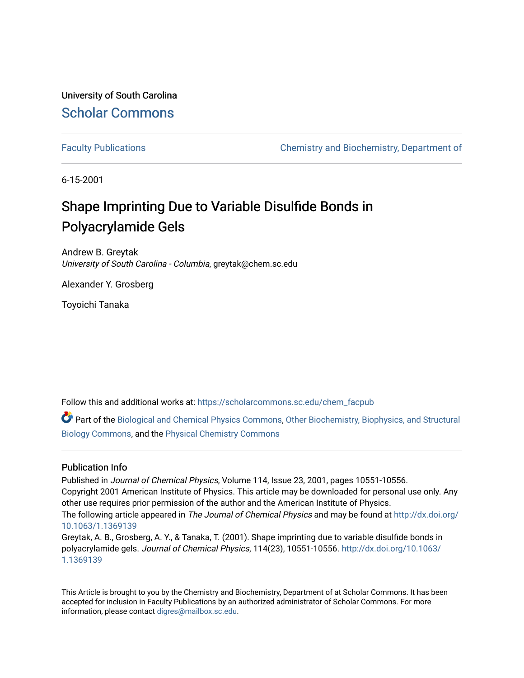University of South Carolina [Scholar Commons](https://scholarcommons.sc.edu/) 

[Faculty Publications](https://scholarcommons.sc.edu/chem_facpub) [Chemistry and Biochemistry, Department of](https://scholarcommons.sc.edu/chem) 

6-15-2001

# Shape Imprinting Due to Variable Disulfide Bonds in Polyacrylamide Gels

Andrew B. Greytak University of South Carolina - Columbia, greytak@chem.sc.edu

Alexander Y. Grosberg

Toyoichi Tanaka

Follow this and additional works at: [https://scholarcommons.sc.edu/chem\\_facpub](https://scholarcommons.sc.edu/chem_facpub?utm_source=scholarcommons.sc.edu%2Fchem_facpub%2F237&utm_medium=PDF&utm_campaign=PDFCoverPages)

Part of the [Biological and Chemical Physics Commons,](http://network.bepress.com/hgg/discipline/196?utm_source=scholarcommons.sc.edu%2Fchem_facpub%2F237&utm_medium=PDF&utm_campaign=PDFCoverPages) [Other Biochemistry, Biophysics, and Structural](http://network.bepress.com/hgg/discipline/7?utm_source=scholarcommons.sc.edu%2Fchem_facpub%2F237&utm_medium=PDF&utm_campaign=PDFCoverPages)  [Biology Commons](http://network.bepress.com/hgg/discipline/7?utm_source=scholarcommons.sc.edu%2Fchem_facpub%2F237&utm_medium=PDF&utm_campaign=PDFCoverPages), and the [Physical Chemistry Commons](http://network.bepress.com/hgg/discipline/139?utm_source=scholarcommons.sc.edu%2Fchem_facpub%2F237&utm_medium=PDF&utm_campaign=PDFCoverPages) 

## Publication Info

Published in Journal of Chemical Physics, Volume 114, Issue 23, 2001, pages 10551-10556. Copyright 2001 American Institute of Physics. This article may be downloaded for personal use only. Any other use requires prior permission of the author and the American Institute of Physics. The following article appeared in The Journal of Chemical Physics and may be found at [http://dx.doi.org/](http://dx.doi.org/10.1063/1.1369139)

## [10.1063/1.1369139](http://dx.doi.org/10.1063/1.1369139)

Greytak, A. B., Grosberg, A. Y., & Tanaka, T. (2001). Shape imprinting due to variable disulfide bonds in polyacrylamide gels. Journal of Chemical Physics, 114(23), 10551-10556. [http://dx.doi.org/10.1063/](http://dx.doi.org/10.1063/1.1369139) [1.1369139](http://dx.doi.org/10.1063/1.1369139) 

This Article is brought to you by the Chemistry and Biochemistry, Department of at Scholar Commons. It has been accepted for inclusion in Faculty Publications by an authorized administrator of Scholar Commons. For more information, please contact [digres@mailbox.sc.edu.](mailto:digres@mailbox.sc.edu)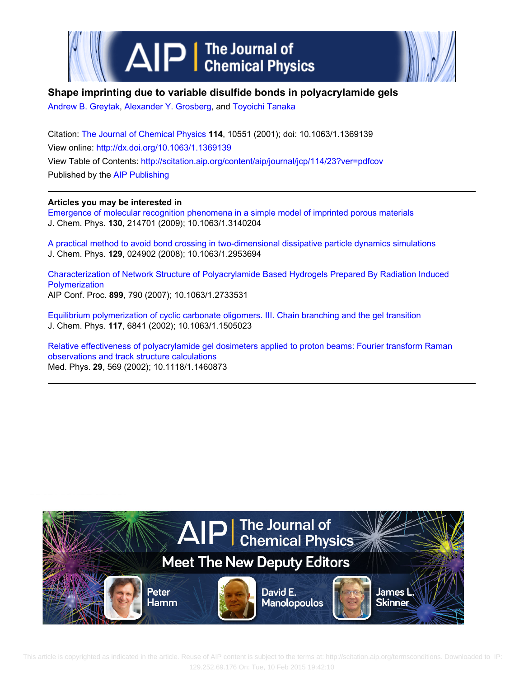

# **Shape imprinting due to variable disulfide bonds in polyacrylamide gels**

[Andrew B. Greytak,](http://scitation.aip.org/search?value1=Andrew+B.+Greytak&option1=author) [Alexander Y. Grosberg](http://scitation.aip.org/search?value1=Alexander+Y.+Grosberg&option1=author), and [Toyoichi Tanaka](http://scitation.aip.org/search?value1=Toyoichi+Tanaka&option1=author)

Citation: [The Journal of Chemical Physics](http://scitation.aip.org/content/aip/journal/jcp?ver=pdfcov) **114**, 10551 (2001); doi: 10.1063/1.1369139 View online: <http://dx.doi.org/10.1063/1.1369139> View Table of Contents: <http://scitation.aip.org/content/aip/journal/jcp/114/23?ver=pdfcov> Published by the [AIP Publishing](http://scitation.aip.org/content/aip?ver=pdfcov)

## **Articles you may be interested in**

[Emergence of molecular recognition phenomena in a simple model of imprinted porous materials](http://scitation.aip.org/content/aip/journal/jcp/130/21/10.1063/1.3140204?ver=pdfcov) J. Chem. Phys. **130**, 214701 (2009); 10.1063/1.3140204

[A practical method to avoid bond crossing in two-dimensional dissipative particle dynamics simulations](http://scitation.aip.org/content/aip/journal/jcp/129/2/10.1063/1.2953694?ver=pdfcov) J. Chem. Phys. **129**, 024902 (2008); 10.1063/1.2953694

[Characterization of Network Structure of Polyacrylamide Based Hydrogels Prepared By Radiation Induced](http://scitation.aip.org/content/aip/proceeding/aipcp/10.1063/1.2733531?ver=pdfcov) **[Polymerization](http://scitation.aip.org/content/aip/proceeding/aipcp/10.1063/1.2733531?ver=pdfcov)** AIP Conf. Proc. **899**, 790 (2007); 10.1063/1.2733531

[Equilibrium polymerization of cyclic carbonate oligomers. III. Chain branching and the gel transition](http://scitation.aip.org/content/aip/journal/jcp/117/14/10.1063/1.1505023?ver=pdfcov) J. Chem. Phys. **117**, 6841 (2002); 10.1063/1.1505023

[Relative effectiveness of polyacrylamide gel dosimeters applied to proton beams: Fourier transform Raman](http://scitation.aip.org/content/aapm/journal/medphys/29/4/10.1118/1.1460873?ver=pdfcov) [observations and track structure calculations](http://scitation.aip.org/content/aapm/journal/medphys/29/4/10.1118/1.1460873?ver=pdfcov) Med. Phys. **29**, 569 (2002); 10.1118/1.1460873



 This article is copyrighted as indicated in the article. Reuse of AIP content is subject to the terms at: http://scitation.aip.org/termsconditions. Downloaded to IP: 129.252.69.176 On: Tue, 10 Feb 2015 19:42:10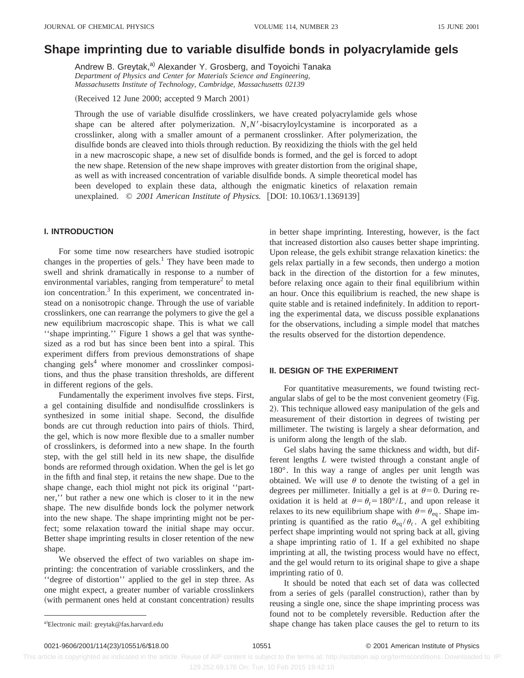## **Shape imprinting due to variable disulfide bonds in polyacrylamide gels**

Andrew B. Greytak,<sup>a)</sup> Alexander Y. Grosberg, and Toyoichi Tanaka *Department of Physics and Center for Materials Science and Engineering, Massachusetts Institute of Technology, Cambridge, Massachusetts 02139*

(Received 12 June 2000; accepted 9 March 2001)

Through the use of variable disulfide crosslinkers, we have created polyacrylamide gels whose shape can be altered after polymerization.  $N$ , $N$ <sup> $\prime$ </sup>-bisacryloylcystamine is incorporated as a crosslinker, along with a smaller amount of a permanent crosslinker. After polymerization, the disulfide bonds are cleaved into thiols through reduction. By reoxidizing the thiols with the gel held in a new macroscopic shape, a new set of disulfide bonds is formed, and the gel is forced to adopt the new shape. Retension of the new shape improves with greater distortion from the original shape, as well as with increased concentration of variable disulfide bonds. A simple theoretical model has been developed to explain these data, although the enigmatic kinetics of relaxation remain unexplained. © 2001 American Institute of Physics. [DOI: 10.1063/1.1369139]

## **I. INTRODUCTION**

For some time now researchers have studied isotropic changes in the properties of gels.<sup>1</sup> They have been made to swell and shrink dramatically in response to a number of environmental variables, ranging from temperature<sup>2</sup> to metal ion concentration.3 In this experiment, we concentrated instead on a nonisotropic change. Through the use of variable crosslinkers, one can rearrange the polymers to give the gel a new equilibrium macroscopic shape. This is what we call ''shape imprinting.'' Figure 1 shows a gel that was synthesized as a rod but has since been bent into a spiral. This experiment differs from previous demonstrations of shape changing  $gels<sup>4</sup>$  where monomer and crosslinker compositions, and thus the phase transition thresholds, are different in different regions of the gels.

Fundamentally the experiment involves five steps. First, a gel containing disulfide and nondisulfide crosslinkers is synthesized in some initial shape. Second, the disulfide bonds are cut through reduction into pairs of thiols. Third, the gel, which is now more flexible due to a smaller number of crosslinkers, is deformed into a new shape. In the fourth step, with the gel still held in its new shape, the disulfide bonds are reformed through oxidation. When the gel is let go in the fifth and final step, it retains the new shape. Due to the shape change, each thiol might not pick its original ''partner,'' but rather a new one which is closer to it in the new shape. The new disulfide bonds lock the polymer network into the new shape. The shape imprinting might not be perfect; some relaxation toward the initial shape may occur. Better shape imprinting results in closer retention of the new shape.

We observed the effect of two variables on shape imprinting: the concentration of variable crosslinkers, and the ''degree of distortion'' applied to the gel in step three. As one might expect, a greater number of variable crosslinkers (with permanent ones held at constant concentration) results in better shape imprinting. Interesting, however, is the fact that increased distortion also causes better shape imprinting. Upon release, the gels exhibit strange relaxation kinetics: the gels relax partially in a few seconds, then undergo a motion back in the direction of the distortion for a few minutes, before relaxing once again to their final equilibrium within an hour. Once this equilibrium is reached, the new shape is quite stable and is retained indefinitely. In addition to reporting the experimental data, we discuss possible explanations for the observations, including a simple model that matches the results observed for the distortion dependence.

#### **II. DESIGN OF THE EXPERIMENT**

For quantitative measurements, we found twisting rectangular slabs of gel to be the most convenient geometry (Fig. 2). This technique allowed easy manipulation of the gels and measurement of their distortion in degrees of twisting per millimeter. The twisting is largely a shear deformation, and is uniform along the length of the slab.

Gel slabs having the same thickness and width, but different lengths *L* were twisted through a constant angle of 180°. In this way a range of angles per unit length was obtained. We will use  $\theta$  to denote the twisting of a gel in degrees per millimeter. Initially a gel is at  $\theta=0$ . During reoxidation it is held at  $\theta = \theta_t = 180^\circ/L$ , and upon release it relaxes to its new equilibrium shape with  $\theta = \theta_{eq}$ . Shape imprinting is quantified as the ratio  $\theta_{eq} / \theta_t$ . A gel exhibiting perfect shape imprinting would not spring back at all, giving a shape imprinting ratio of 1. If a gel exhibited no shape imprinting at all, the twisting process would have no effect, and the gel would return to its original shape to give a shape imprinting ratio of 0.

It should be noted that each set of data was collected from a series of gels (parallel construction), rather than by reusing a single one, since the shape imprinting process was found not to be completely reversible. Reduction after the shape change has taken place causes the gel to return to its

 This article is copyrighted as indicated in the article. Reuse of AIP content is subject to the terms at: http://scitation.aip.org/termsconditions. Downloaded to IP: 129.252.69.176 On: Tue, 10 Feb 2015 19:42:10

Electronic mail: greytak@fas.harvard.edu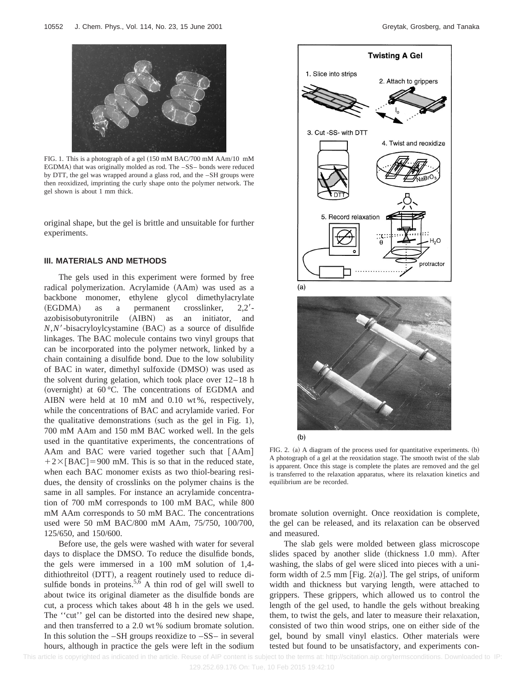

FIG. 1. This is a photograph of a gel (150 mM BAC/700 mM AAm/10 mM EGDMA) that was originally molded as rod. The  $-SS-$  bonds were reduced by DTT, the gel was wrapped around a glass rod, and the –SH groups were then reoxidized, imprinting the curly shape onto the polymer network. The gel shown is about 1 mm thick.

original shape, but the gel is brittle and unsuitable for further experiments.

#### **III. MATERIALS AND METHODS**

The gels used in this experiment were formed by free radical polymerization. Acrylamide (AAm) was used as a backbone monomer, ethylene glycol dimethylacrylate  $(\text{EGDMA})$  as a permanent crosslinker, 2,2'azobisisobutyronitrile (AIBN) as an initiator, and  $N$ , $N'$ -bisacryloylcystamine  $(BAC)$  as a source of disulfide linkages. The BAC molecule contains two vinyl groups that can be incorporated into the polymer network, linked by a chain containing a disulfide bond. Due to the low solubility of BAC in water, dimethyl sulfoxide (DMSO) was used as the solvent during gelation, which took place over 12–18 h (overnight) at  $60^{\circ}$ C. The concentrations of EGDMA and AIBN were held at 10 mM and 0.10 wt %, respectively, while the concentrations of BAC and acrylamide varied. For the qualitative demonstrations (such as the gel in Fig. 1), 700 mM AAm and 150 mM BAC worked well. In the gels used in the quantitative experiments, the concentrations of AAm and BAC were varied together such that  $[AAm]$  $1 + 2 \times [BAC] = 900$  mM. This is so that in the reduced state, when each BAC monomer exists as two thiol-bearing residues, the density of crosslinks on the polymer chains is the same in all samples. For instance an acrylamide concentration of 700 mM corresponds to 100 mM BAC, while 800 mM AAm corresponds to 50 mM BAC. The concentrations used were 50 mM BAC/800 mM AAm, 75/750, 100/700, 125/650, and 150/600.

Before use, the gels were washed with water for several days to displace the DMSO. To reduce the disulfide bonds, the gels were immersed in a 100 mM solution of 1,4 dithiothreitol (DTT), a reagent routinely used to reduce disulfide bonds in proteins.<sup>5,6</sup> A thin rod of gel will swell to about twice its original diameter as the disulfide bonds are cut, a process which takes about 48 h in the gels we used. The ''cut'' gel can be distorted into the desired new shape, and then transferred to a 2.0 wt % sodium bromate solution. In this solution the  $-SH$  groups reoxidize to  $-SS$ – in several hours, although in practice the gels were left in the sodium





FIG. 2. (a) A diagram of the process used for quantitative experiments.  $(b)$ A photograph of a gel at the reoxidation stage. The smooth twist of the slab is apparent. Once this stage is complete the plates are removed and the gel is transferred to the relaxation apparatus, where its relaxation kinetics and equilibrium are be recorded.

bromate solution overnight. Once reoxidation is complete, the gel can be released, and its relaxation can be observed and measured.

The slab gels were molded between glass microscope slides spaced by another slide (thickness 1.0 mm). After washing, the slabs of gel were sliced into pieces with a uniform width of 2.5 mm [Fig. 2(a)]. The gel strips, of uniform width and thickness but varying length, were attached to grippers. These grippers, which allowed us to control the length of the gel used, to handle the gels without breaking them, to twist the gels, and later to measure their relaxation, consisted of two thin wood strips, one on either side of the gel, bound by small vinyl elastics. Other materials were tested but found to be unsatisfactory, and experiments con-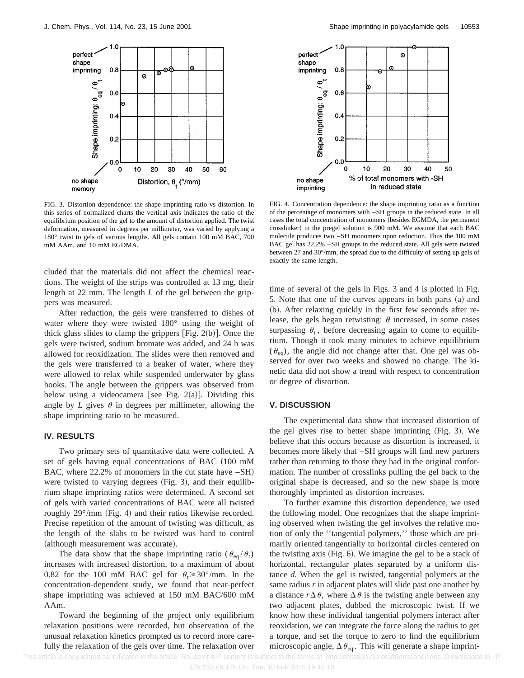

FIG. 3. Distortion dependence: the shape imprinting ratio vs distortion. In this series of normalized charts the vertical axis indicates the ratio of the equilibrium position of the gel to the amount of distortion applied. The twist deformation, measured in degrees per millimeter, was varied by applying a 180° twist to gels of various lengths. All gels contain 100 mM BAC, 700 mM AAm, and 10 mM EGDMA.

cluded that the materials did not affect the chemical reactions. The weight of the strips was controlled at 13 mg, their length at 22 mm. The length *L* of the gel between the grippers was measured.

After reduction, the gels were transferred to dishes of water where they were twisted 180° using the weight of thick glass slides to clamp the grippers  $[Fig. 2(b)].$  Once the gels were twisted, sodium bromate was added, and 24 h was allowed for reoxidization. The slides were then removed and the gels were transferred to a beaker of water, where they were allowed to relax while suspended underwater by glass hooks. The angle between the grippers was observed from below using a videocamera [see Fig. 2(a)]. Dividing this angle by  $L$  gives  $\theta$  in degrees per millimeter, allowing the shape imprinting ratio to be measured.

#### **IV. RESULTS**

Two primary sets of quantitative data were collected. A set of gels having equal concentrations of BAC (100 mM BAC, where  $22.2\%$  of monomers in the cut state have  $-SH$ ) were twisted to varying degrees  $(Fig. 3)$ , and their equilibrium shape imprinting ratios were determined. A second set of gels with varied concentrations of BAC were all twisted roughly  $29^{\circ}/mm$  (Fig. 4) and their ratios likewise recorded. Precise repetition of the amount of twisting was difficult, as the length of the slabs to be twisted was hard to control (although measurement was accurate).

The data show that the shape imprinting ratio ( $\theta_{eq}/\theta_t$ ) increases with increased distortion, to a maximum of about 0.82 for the 100 mM BAC gel for  $\theta_t \ge 30^\circ/\text{mm}$ . In the concentration-dependent study, we found that near-perfect shape imprinting was achieved at 150 mM BAC/600 mM AAm.

Toward the beginning of the project only equilibrium relaxation positions were recorded, but observation of the unusual relaxation kinetics prompted us to record more carefully the relaxation of the gels over time. The relaxation over



FIG. 4. Concentration dependence: the shape imprinting ratio as a function of the percentage of monomers with –SH groups in the reduced state. In all cases the total concentration of monomers (besides EGMDA, the permanent crosslinker) in the pregel solution is 900 mM. We assume that each BAC molecule produces two –SH monomers upon reduction. Thus the 100 mM BAC gel has 22.2% –SH groups in the reduced state. All gels were twisted between 27 and 30°/mm, the spread due to the difficulty of setting up gels of exactly the same length.

time of several of the gels in Figs. 3 and 4 is plotted in Fig. 5. Note that one of the curves appears in both parts (a) and (b). After relaxing quickly in the first few seconds after release, the gels began retwisting:  $\theta$  increased, in some cases surpassing  $\theta_t$ , before decreasing again to come to equilibrium. Though it took many minutes to achieve equilibrium  $(\theta_{eq})$ , the angle did not change after that. One gel was observed for over two weeks and showed no change. The kinetic data did not show a trend with respect to concentration or degree of distortion.

#### **V. DISCUSSION**

The experimental data show that increased distortion of the gel gives rise to better shape imprinting  $(Fig. 3)$ . We believe that this occurs because as distortion is increased, it becomes more likely that –SH groups will find new partners rather than returning to those they had in the original conformation. The number of crosslinks pulling the gel back to the original shape is decreased, and so the new shape is more thoroughly imprinted as distortion increases.

To further examine this distortion dependence, we used the following model. One recognizes that the shape imprinting observed when twisting the gel involves the relative motion of only the ''tangential polymers,'' those which are primarily oriented tangentially to horizontal circles centered on the twisting axis  $(Fig. 6)$ . We imagine the gel to be a stack of horizontal, rectangular plates separated by a uniform distance *d*. When the gel is twisted, tangential polymers at the same radius *r* in adjacent plates will slide past one another by a distance  $r\Delta\theta$ , where  $\Delta\theta$  is the twisting angle between any two adjacent plates, dubbed the microscopic twist. If we know how these individual tangential polymers interact after reoxidation, we can integrate the force along the radius to get a torque, and set the torque to zero to find the equilibrium microscopic angle,  $\Delta \theta_{\text{eq}}$ . This will generate a shape imprint-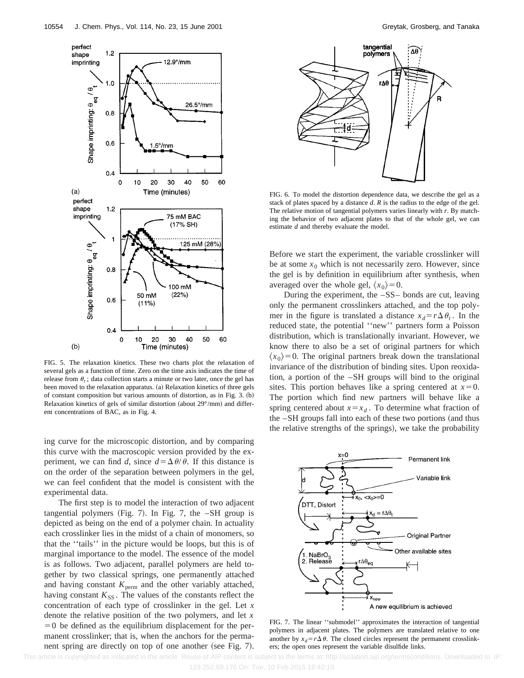

FIG. 5. The relaxation kinetics. These two charts plot the relaxation of several gels as a function of time. Zero on the time axis indicates the time of release from  $\theta_t$ ; data collection starts a minute or two later, once the gel has been moved to the relaxation apparatus. (a) Relaxation kinetics of three gels of constant composition but various amounts of distortion, as in Fig. 3.  $(b)$ Relaxation kinetics of gels of similar distortion (about  $29^{\circ}/\text{mm}$ ) and different concentrations of BAC, as in Fig. 4.

ing curve for the microscopic distortion, and by comparing this curve with the macroscopic version provided by the experiment, we can find *d*, since  $d = \Delta \theta/\theta$ . If this distance is on the order of the separation between polymers in the gel, we can feel confident that the model is consistent with the experimental data.

The first step is to model the interaction of two adjacent tangential polymers (Fig. 7). In Fig. 7, the  $-SH$  group is depicted as being on the end of a polymer chain. In actuality each crosslinker lies in the midst of a chain of monomers, so that the ''tails'' in the picture would be loops, but this is of marginal importance to the model. The essence of the model is as follows. Two adjacent, parallel polymers are held together by two classical springs, one permanently attached and having constant  $K_{\text{perm}}$  and the other variably attached, having constant  $K_{SS}$ . The values of the constants reflect the concentration of each type of crosslinker in the gel. Let *x* denote the relative position of the two polymers, and let *x*  $=0$  be defined as the equilibrium displacement for the permanent crosslinker; that is, when the anchors for the permanent spring are directly on top of one another (see Fig. 7).



FIG. 6. To model the distortion dependence data, we describe the gel as a stack of plates spaced by a distance *d*. *R* is the radius to the edge of the gel. The relative motion of tangential polymers varies linearly with *r*. By matching the behavior of two adjacent plates to that of the whole gel, we can estimate *d* and thereby evaluate the model.

Before we start the experiment, the variable crosslinker will be at some  $x_0$  which is not necessarily zero. However, since the gel is by definition in equilibrium after synthesis, when averaged over the whole gel,  $\langle x_0 \rangle = 0$ .

During the experiment, the –SS– bonds are cut, leaving only the permanent crosslinkers attached, and the top polymer in the figure is translated a distance  $x_d = r \Delta \theta_t$ . In the reduced state, the potential ''new'' partners form a Poisson distribution, which is translationally invariant. However, we know there to also be a set of original partners for which  $\langle x_0 \rangle$ =0. The original partners break down the translational invariance of the distribution of binding sites. Upon reoxidation, a portion of the –SH groups will bind to the original sites. This portion behaves like a spring centered at  $x=0$ . The portion which find new partners will behave like a spring centered about  $x=x_d$ . To determine what fraction of the  $-SH$  groups fall into each of these two portions (and thus the relative strengths of the springs), we take the probability



FIG. 7. The linear ''submodel'' approximates the interaction of tangential polymers in adjacent plates. The polymers are translated relative to one another by  $x_d = r\Delta\theta$ . The closed circles represent the permanent crosslinkers; the open ones represent the variable disulfide links.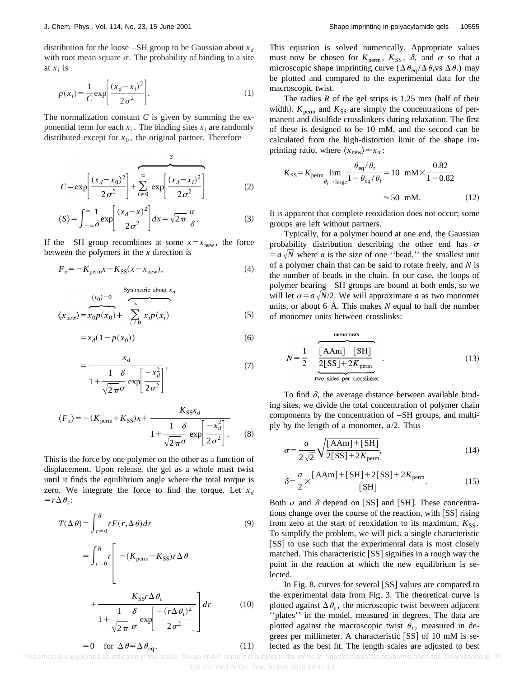distribution for the loose –SH group to be Gaussian about  $x_d$ with root mean square  $\sigma$ . The probability of binding to a site at  $x_i$  is

$$
p(x_i) = \frac{1}{C} \exp\left[\frac{(x_d - x_i)^2}{2\sigma^2}\right].
$$
 (1)

The normalization constant *C* is given by summing the exponential term for each  $x_i$ . The binding sites  $x_i$  are randomly distributed except for  $x_0$ , the original partner. Therefore

$$
C = \exp\left[\frac{(x_d - x_0)^2}{2\sigma^2}\right] + \sum_{i=0}^{\infty} \exp\left[\frac{(x_d - x_i)^2}{2\sigma^2}\right]
$$
 (2)

$$
\langle S \rangle = \int_{-\infty}^{\infty} \frac{1}{\delta} \exp\left[\frac{(x_d - x)^2}{2\sigma^2}\right] dx = \sqrt{2\pi} \frac{\sigma}{\delta}.
$$
 (3)

If the –SH group recombines at some  $x = x_{\text{new}}$ , the force between the polymers in the *x* direction is

$$
F_x = -K_{\text{perm}}x - K_{\text{SS}}(x - x_{\text{new}}),\tag{4}
$$

$$
\langle x_0 \rangle = 0 \qquad \text{Symmetric about } x_d
$$
\n
$$
\langle x_{\text{new}} \rangle = x_0 p(x_0) + \sum_{i \neq 0}^{\infty} x_i p(x_i) \tag{5}
$$

$$
=x_d(1-p(x_0))
$$
\n<sup>(6)</sup>

$$
= \frac{x_d}{1 + \frac{1}{\sqrt{2\pi}\sigma} \exp\left[\frac{-x_d^2}{2\sigma^2}\right]},
$$
\n(7)

$$
\langle F_x \rangle = -\left(K_{\text{perm}} + K_{\text{SS}}\right)x + \frac{K_{\text{SS}}x_d}{1 + \frac{1}{\sqrt{2\pi}\sigma} \exp\left[\frac{-x_d^2}{2\sigma^2}\right]}.
$$
 (8)

This is the force by one polymer on the other as a function of displacement. Upon release, the gel as a whole must twist until it finds the equilibrium angle where the total torque is zero. We integrate the force to find the torque. Let  $x_d$  $= r \Delta \theta$ <sub>t</sub>:

$$
T(\Delta \theta) = \int_{r=0}^{R} rF(r, \Delta \theta) dr
$$
(9)  

$$
= \int_{r=0}^{R} r \left[ -(K_{\text{perm}} + K_{SS})r\Delta \theta \right.
$$

$$
+ \frac{K_{SS}r\Delta \theta_{t}}{1 + \frac{1}{\sqrt{2\pi} \sigma} \frac{\delta}{\sigma} \exp\left[\frac{-(r\Delta \theta_{t})^{2}}{2\sigma^{2}}\right]} dr
$$
(10)  

$$
= 0 \quad \text{for } \Delta \theta = \Delta \theta_{\text{eq}}.
$$
(11)

This equation is solved numerically. Appropriate values must now be chosen for  $K_{\text{perm}}$ ,  $K_{SS}$ ,  $\delta$ , and  $\sigma$  so that a microscopic shape imprinting curve  $(\Delta \theta_{eq} / \Delta \theta_t)$  may be plotted and compared to the experimental data for the macroscopic twist.

The radius  *of the gel strips is 1.25 mm (half of their* width).  $K_{\text{perm}}$  and  $K_{SS}$  are simply the concentrations of permanent and disulfide crosslinkers during relaxation. The first of these is designed to be 10 mM, and the second can be calculated from the high-distortion limit of the shape imprinting ratio, where  $\langle x_{\text{new}} \rangle \approx x_d$ :

$$
K_{SS} = K_{\text{perm}} \lim_{\theta_t \to \text{large}} \frac{\theta_{\text{eq}}/\theta_t}{1 - \theta_{\text{eq}}/\theta_t} = 10 \text{ mM} \times \frac{0.82}{1 - 0.82}
$$

$$
\approx 50 \text{ mM.}
$$
(12)

It is apparent that complete reoxidation does not occur; some groups are left without partners.

Typically, for a polymer bound at one end, the Gaussian probability distribution describing the other end has  $\sigma$  $=a\sqrt{N}$  where *a* is the size of one "bead," the smallest unit of a polymer chain that can be said to rotate freely, and *N* is the number of beads in the chain. In our case, the loops of polymer bearing –SH groups are bound at both ends, so we will let  $\sigma = a\sqrt{\frac{N}{2}}$ . We will approximate *a* as two monomer units, or about 6 Å. This makes *N* equal to half the number of monomer units between crosslinks:

$$
N = \frac{1}{2} \underbrace{\overbrace{\text{[AAm]} + \text{[SH]} \atop \text{[NS]} + 2K_{\text{perm}}}}_{\text{two sides per crosslinker}}.
$$
\n(13)

To find  $\delta$ , the average distance between available binding sites, we divide the total concentration of polymer chain components by the concentration of –SH groups, and multiply by the length of a monomer, *a*/2. Thus

$$
\sigma = \frac{a}{2\sqrt{2}}\sqrt{\frac{[\text{AAm}]+[\text{SH}]}{2[\text{SS}]+2K_{\text{perm}}}},\tag{14}
$$

$$
\delta = \frac{a}{2} \times \frac{[\text{AAm}]+[\text{SH}]+2[\text{SS}]+2K_{\text{perm}}}{[\text{SH}]}. \tag{15}
$$

Both  $\sigma$  and  $\delta$  depend on [SS] and [SH]. These concentrations change over the course of the reaction, with  $[SS]$  rising from zero at the start of reoxidation to its maximum,  $K_{SS}$ . To simplify the problem, we will pick a single characteristic [SS] to use such that the experimental data is most closely matched. This characteristic  $[SS]$  signifies in a rough way the point in the reaction at which the new equilibrium is selected.

In Fig. 8, curves for several  $[SS]$  values are compared to the experimental data from Fig. 3. The theoretical curve is plotted against  $\Delta \theta_t$ , the microscopic twist between adjacent ''plates'' in the model, measured in degrees. The data are plotted against the macroscopic twist  $\theta_t$ , measured in degrees per millimeter. A characteristic  $[SS]$  of 10 mM is selected as the best fit. The length scales are adjusted to best

This article is copyrighted as indicated in the article. Reuse of AIP content is subject to the terms at: http://scitation.aip.org/termsconditions. Downloaded to IP: